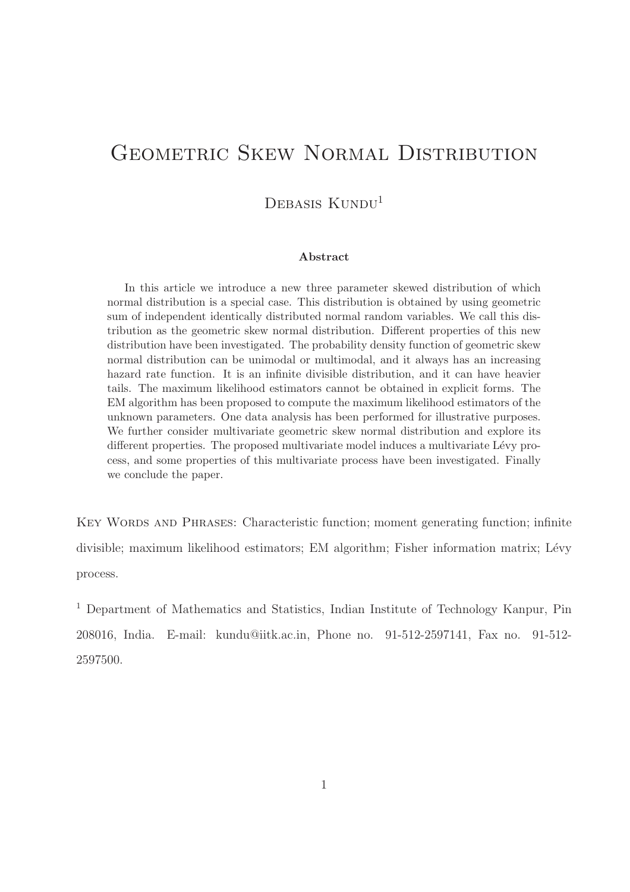# GEOMETRIC SKEW NORMAL DISTRIBUTION

### DEBASIS KUNDU<sup>1</sup>

#### Abstract

In this article we introduce a new three parameter skewed distribution of which normal distribution is a special case. This distribution is obtained by using geometric sum of independent identically distributed normal random variables. We call this distribution as the geometric skew normal distribution. Different properties of this new distribution have been investigated. The probability density function of geometric skew normal distribution can be unimodal or multimodal, and it always has an increasing hazard rate function. It is an infinite divisible distribution, and it can have heavier tails. The maximum likelihood estimators cannot be obtained in explicit forms. The EM algorithm has been proposed to compute the maximum likelihood estimators of the unknown parameters. One data analysis has been performed for illustrative purposes. We further consider multivariate geometric skew normal distribution and explore its different properties. The proposed multivariate model induces a multivariate Lévy process, and some properties of this multivariate process have been investigated. Finally we conclude the paper.

KEY WORDS AND PHRASES: Characteristic function; moment generating function; infinite divisible; maximum likelihood estimators; EM algorithm; Fisher information matrix; Lévy process.

<sup>1</sup> Department of Mathematics and Statistics, Indian Institute of Technology Kanpur, Pin 208016, India. E-mail: kundu@iitk.ac.in, Phone no. 91-512-2597141, Fax no. 91-512- 2597500.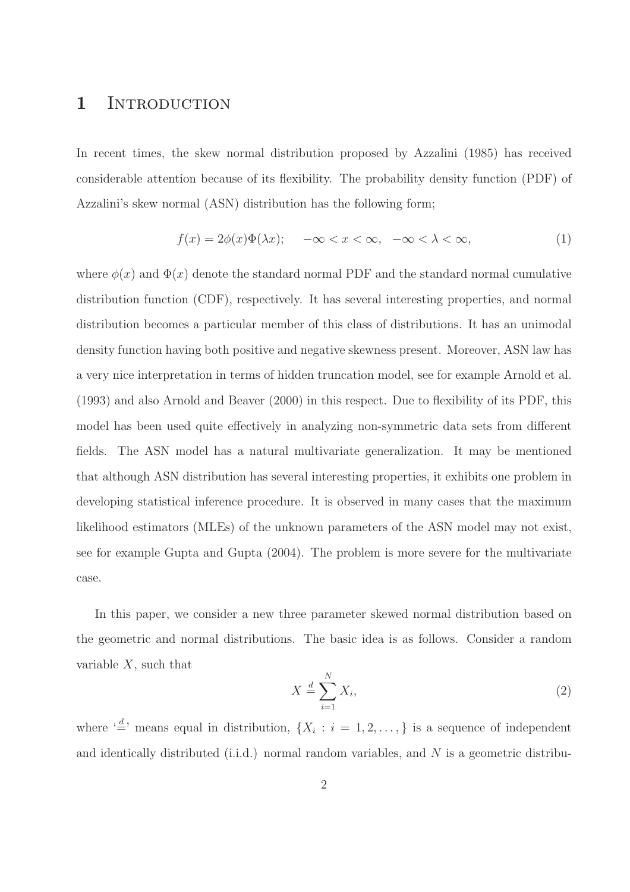### 1 INTRODUCTION

In recent times, the skew normal distribution proposed by Azzalini (1985) has received considerable attention because of its flexibility. The probability density function (PDF) of Azzalini's skew normal (ASN) distribution has the following form;

$$
f(x) = 2\phi(x)\Phi(\lambda x); \quad -\infty < x < \infty, \quad -\infty < \lambda < \infty,\tag{1}
$$

where  $\phi(x)$  and  $\Phi(x)$  denote the standard normal PDF and the standard normal cumulative distribution function (CDF), respectively. It has several interesting properties, and normal distribution becomes a particular member of this class of distributions. It has an unimodal density function having both positive and negative skewness present. Moreover, ASN law has a very nice interpretation in terms of hidden truncation model, see for example Arnold et al. (1993) and also Arnold and Beaver (2000) in this respect. Due to flexibility of its PDF, this model has been used quite effectively in analyzing non-symmetric data sets from different fields. The ASN model has a natural multivariate generalization. It may be mentioned that although ASN distribution has several interesting properties, it exhibits one problem in developing statistical inference procedure. It is observed in many cases that the maximum likelihood estimators (MLEs) of the unknown parameters of the ASN model may not exist, see for example Gupta and Gupta (2004). The problem is more severe for the multivariate case.

In this paper, we consider a new three parameter skewed normal distribution based on the geometric and normal distributions. The basic idea is as follows. Consider a random variable  $X$ , such that

$$
X \stackrel{d}{=} \sum_{i=1}^{N} X_i,\tag{2}
$$

where  $\left(\frac{d}{n}\right)$  means equal in distribution,  $\{X_i : i = 1, 2, \ldots\}$  is a sequence of independent and identically distributed (i.i.d.) normal random variables, and  $N$  is a geometric distribu-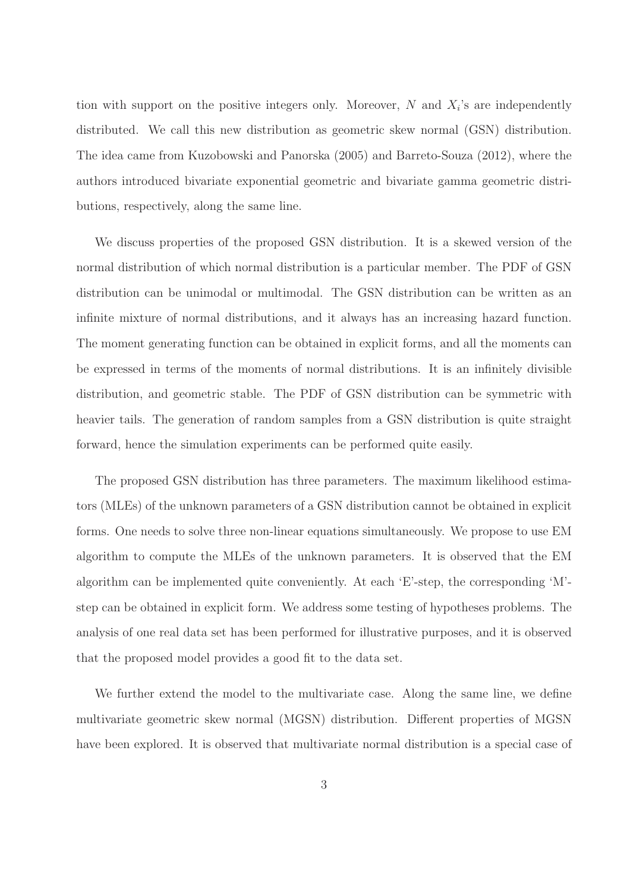tion with support on the positive integers only. Moreover,  $N$  and  $X_i$ 's are independently distributed. We call this new distribution as geometric skew normal (GSN) distribution. The idea came from Kuzobowski and Panorska (2005) and Barreto-Souza (2012), where the authors introduced bivariate exponential geometric and bivariate gamma geometric distributions, respectively, along the same line.

We discuss properties of the proposed GSN distribution. It is a skewed version of the normal distribution of which normal distribution is a particular member. The PDF of GSN distribution can be unimodal or multimodal. The GSN distribution can be written as an infinite mixture of normal distributions, and it always has an increasing hazard function. The moment generating function can be obtained in explicit forms, and all the moments can be expressed in terms of the moments of normal distributions. It is an infinitely divisible distribution, and geometric stable. The PDF of GSN distribution can be symmetric with heavier tails. The generation of random samples from a GSN distribution is quite straight forward, hence the simulation experiments can be performed quite easily.

The proposed GSN distribution has three parameters. The maximum likelihood estimators (MLEs) of the unknown parameters of a GSN distribution cannot be obtained in explicit forms. One needs to solve three non-linear equations simultaneously. We propose to use EM algorithm to compute the MLEs of the unknown parameters. It is observed that the EM algorithm can be implemented quite conveniently. At each 'E'-step, the corresponding 'M' step can be obtained in explicit form. We address some testing of hypotheses problems. The analysis of one real data set has been performed for illustrative purposes, and it is observed that the proposed model provides a good fit to the data set.

We further extend the model to the multivariate case. Along the same line, we define multivariate geometric skew normal (MGSN) distribution. Different properties of MGSN have been explored. It is observed that multivariate normal distribution is a special case of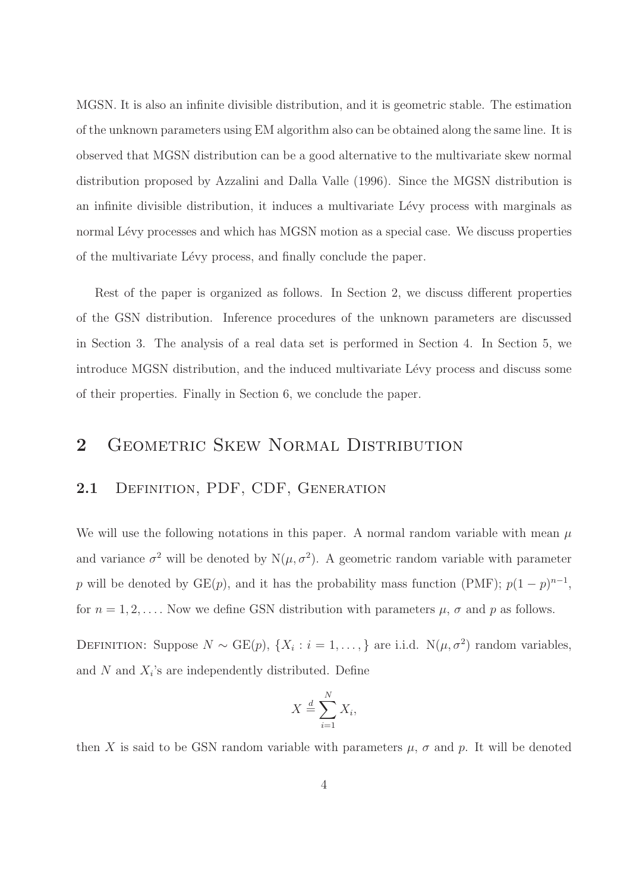MGSN. It is also an infinite divisible distribution, and it is geometric stable. The estimation of the unknown parameters using EM algorithm also can be obtained along the same line. It is observed that MGSN distribution can be a good alternative to the multivariate skew normal distribution proposed by Azzalini and Dalla Valle (1996). Since the MGSN distribution is an infinite divisible distribution, it induces a multivariate Lévy process with marginals as normal Lévy processes and which has MGSN motion as a special case. We discuss properties of the multivariate L´evy process, and finally conclude the paper.

Rest of the paper is organized as follows. In Section 2, we discuss different properties of the GSN distribution. Inference procedures of the unknown parameters are discussed in Section 3. The analysis of a real data set is performed in Section 4. In Section 5, we introduce MGSN distribution, and the induced multivariate Lévy process and discuss some of their properties. Finally in Section 6, we conclude the paper.

## 2 GEOMETRIC SKEW NORMAL DISTRIBUTION

#### 2.1 DEFINITION, PDF, CDF, GENERATION

We will use the following notations in this paper. A normal random variable with mean  $\mu$ and variance  $\sigma^2$  will be denoted by  $N(\mu, \sigma^2)$ . A geometric random variable with parameter p will be denoted by  $GE(p)$ , and it has the probability mass function (PMF);  $p(1-p)^{n-1}$ , for  $n = 1, 2, \ldots$ . Now we define GSN distribution with parameters  $\mu$ ,  $\sigma$  and  $p$  as follows.

DEFINITION: Suppose  $N \sim \text{GE}(p)$ ,  $\{X_i : i = 1, ..., \}$  are i.i.d.  $N(\mu, \sigma^2)$  random variables, and  $N$  and  $X_i$ 's are independently distributed. Define

$$
X \stackrel{d}{=} \sum_{i=1}^{N} X_i,
$$

then X is said to be GSN random variable with parameters  $\mu$ ,  $\sigma$  and p. It will be denoted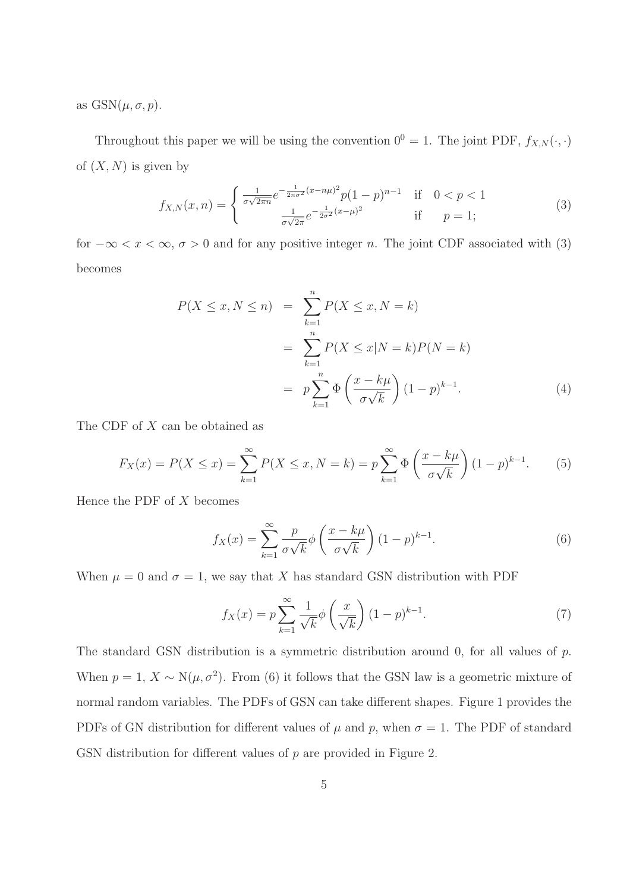as  $\text{GSN}(\mu, \sigma, p)$ .

Throughout this paper we will be using the convention  $0^0 = 1$ . The joint PDF,  $f_{X,N}(\cdot, \cdot)$ of  $(X, N)$  is given by

$$
f_{X,N}(x,n) = \begin{cases} \frac{1}{\sigma\sqrt{2\pi n}}e^{-\frac{1}{2n\sigma^2}(x-n\mu)^2}p(1-p)^{n-1} & \text{if } 0 < p < 1\\ \frac{1}{\sigma\sqrt{2\pi}}e^{-\frac{1}{2\sigma^2}(x-\mu)^2} & \text{if } p = 1; \end{cases}
$$
(3)

for  $-\infty < x < \infty$ ,  $\sigma > 0$  and for any positive integer *n*. The joint CDF associated with (3) becomes

$$
P(X \le x, N \le n) = \sum_{k=1}^{n} P(X \le x, N = k)
$$
  
= 
$$
\sum_{k=1}^{n} P(X \le x | N = k) P(N = k)
$$
  
= 
$$
p \sum_{k=1}^{n} \Phi\left(\frac{x - k\mu}{\sigma\sqrt{k}}\right) (1 - p)^{k-1}.
$$
 (4)

The CDF of X can be obtained as

$$
F_X(x) = P(X \le x) = \sum_{k=1}^{\infty} P(X \le x, N = k) = p \sum_{k=1}^{\infty} \Phi\left(\frac{x - k\mu}{\sigma\sqrt{k}}\right) (1 - p)^{k-1}.
$$
 (5)

Hence the PDF of  $X$  becomes

$$
f_X(x) = \sum_{k=1}^{\infty} \frac{p}{\sigma \sqrt{k}} \phi \left( \frac{x - k\mu}{\sigma \sqrt{k}} \right) (1 - p)^{k-1}.
$$
 (6)

When  $\mu = 0$  and  $\sigma = 1$ , we say that X has standard GSN distribution with PDF

$$
f_X(x) = p \sum_{k=1}^{\infty} \frac{1}{\sqrt{k}} \phi\left(\frac{x}{\sqrt{k}}\right) (1-p)^{k-1}.
$$
 (7)

The standard GSN distribution is a symmetric distribution around 0, for all values of p. When  $p = 1, X \sim N(\mu, \sigma^2)$ . From (6) it follows that the GSN law is a geometric mixture of normal random variables. The PDFs of GSN can take different shapes. Figure 1 provides the PDFs of GN distribution for different values of  $\mu$  and  $p$ , when  $\sigma = 1$ . The PDF of standard GSN distribution for different values of p are provided in Figure 2.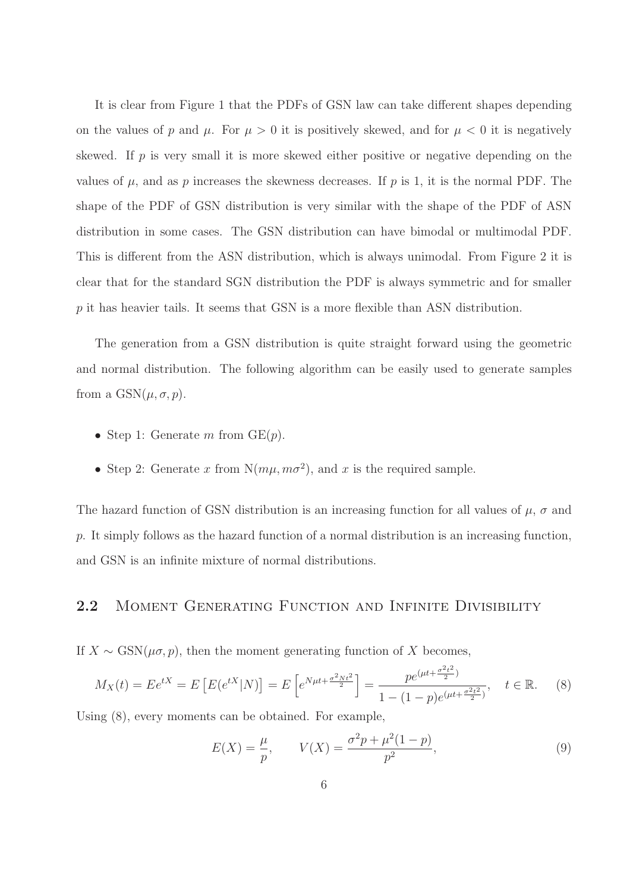It is clear from Figure 1 that the PDFs of GSN law can take different shapes depending on the values of p and  $\mu$ . For  $\mu > 0$  it is positively skewed, and for  $\mu < 0$  it is negatively skewed. If  $p$  is very small it is more skewed either positive or negative depending on the values of  $\mu$ , and as p increases the skewness decreases. If p is 1, it is the normal PDF. The shape of the PDF of GSN distribution is very similar with the shape of the PDF of ASN distribution in some cases. The GSN distribution can have bimodal or multimodal PDF. This is different from the ASN distribution, which is always unimodal. From Figure 2 it is clear that for the standard SGN distribution the PDF is always symmetric and for smaller p it has heavier tails. It seems that GSN is a more flexible than ASN distribution.

The generation from a GSN distribution is quite straight forward using the geometric and normal distribution. The following algorithm can be easily used to generate samples from a  $\text{GSN}(\mu, \sigma, p)$ .

- Step 1: Generate m from  $GE(p)$ .
- Step 2: Generate x from  $N(m\mu, m\sigma^2)$ , and x is the required sample.

The hazard function of GSN distribution is an increasing function for all values of  $\mu$ ,  $\sigma$  and p. It simply follows as the hazard function of a normal distribution is an increasing function, and GSN is an infinite mixture of normal distributions.

#### 2.2 MOMENT GENERATING FUNCTION AND INFINITE DIVISIBILITY

If  $X \sim \text{GSN}(\mu \sigma, p)$ , then the moment generating function of X becomes,

$$
M_X(t) = E e^{tX} = E \left[ E(e^{tX} | N) \right] = E \left[ e^{N\mu t + \frac{\sigma^2 N t^2}{2}} \right] = \frac{p e^{(\mu t + \frac{\sigma^2 t^2}{2})}}{1 - (1 - p)e^{(\mu t + \frac{\sigma^2 t^2}{2})}}, \quad t \in \mathbb{R}.
$$
 (8)

Using (8), every moments can be obtained. For example,

$$
E(X) = \frac{\mu}{p}, \qquad V(X) = \frac{\sigma^2 p + \mu^2 (1 - p)}{p^2},\tag{9}
$$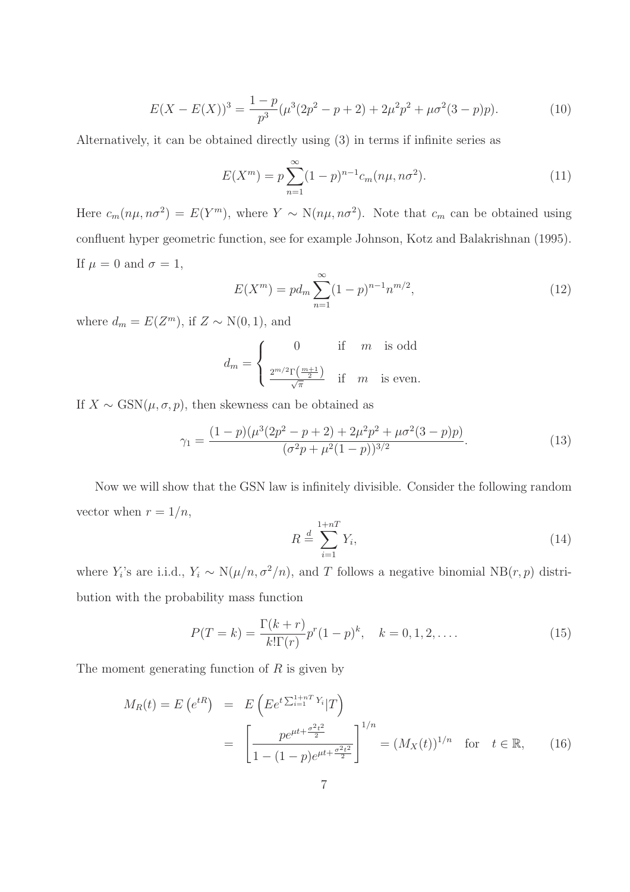$$
E(X - E(X))^3 = \frac{1 - p}{p^3} (\mu^3 (2p^2 - p + 2) + 2\mu^2 p^2 + \mu \sigma^2 (3 - p)p).
$$
 (10)

Alternatively, it can be obtained directly using (3) in terms if infinite series as

$$
E(X^{m}) = p \sum_{n=1}^{\infty} (1-p)^{n-1} c_m(n\mu, n\sigma^2).
$$
 (11)

Here  $c_m(n\mu, n\sigma^2) = E(Y^m)$ , where  $Y \sim N(n\mu, n\sigma^2)$ . Note that  $c_m$  can be obtained using confluent hyper geometric function, see for example Johnson, Kotz and Balakrishnan (1995). If  $\mu = 0$  and  $\sigma = 1$ ,

$$
E(X^{m}) = pd_{m} \sum_{n=1}^{\infty} (1-p)^{n-1} n^{m/2},
$$
\n(12)

where  $d_m = E(Z^m)$ , if  $Z \sim N(0, 1)$ , and

$$
d_m = \begin{cases} 0 & \text{if } m \text{ is odd} \\ \frac{2^{m/2} \Gamma\left(\frac{m+1}{2}\right)}{\sqrt{\pi}} & \text{if } m \text{ is even.} \end{cases}
$$

If  $X \sim \text{GSN}(\mu, \sigma, p)$ , then skewness can be obtained as

$$
\gamma_1 = \frac{(1-p)(\mu^3(2p^2 - p + 2) + 2\mu^2 p^2 + \mu \sigma^2 (3-p)p)}{(\sigma^2 p + \mu^2 (1-p))^{3/2}}.
$$
\n(13)

Now we will show that the GSN law is infinitely divisible. Consider the following random vector when  $r = 1/n$ ,

$$
R \stackrel{d}{=} \sum_{i=1}^{1+nT} Y_i,\tag{14}
$$

where  $Y_i$ 's are i.i.d.,  $Y_i \sim N(\mu/n, \sigma^2/n)$ , and T follows a negative binomial  $NB(r, p)$  distribution with the probability mass function

$$
P(T = k) = \frac{\Gamma(k+r)}{k!\Gamma(r)}p^{r}(1-p)^{k}, \quad k = 0, 1, 2, ....
$$
\n(15)

The moment generating function of  $R$  is given by

$$
M_R(t) = E\left(e^{tR}\right) = E\left( E e^{t\sum_{i=1}^{1+n} Y_i} | T \right)
$$
  
= 
$$
\left[ \frac{p e^{\mu t + \frac{\sigma^2 t^2}{2}}}{1 - (1-p)e^{\mu t + \frac{\sigma^2 t^2}{2}}} \right]^{1/n} = (M_X(t))^{1/n} \text{ for } t \in \mathbb{R}, \qquad (16)
$$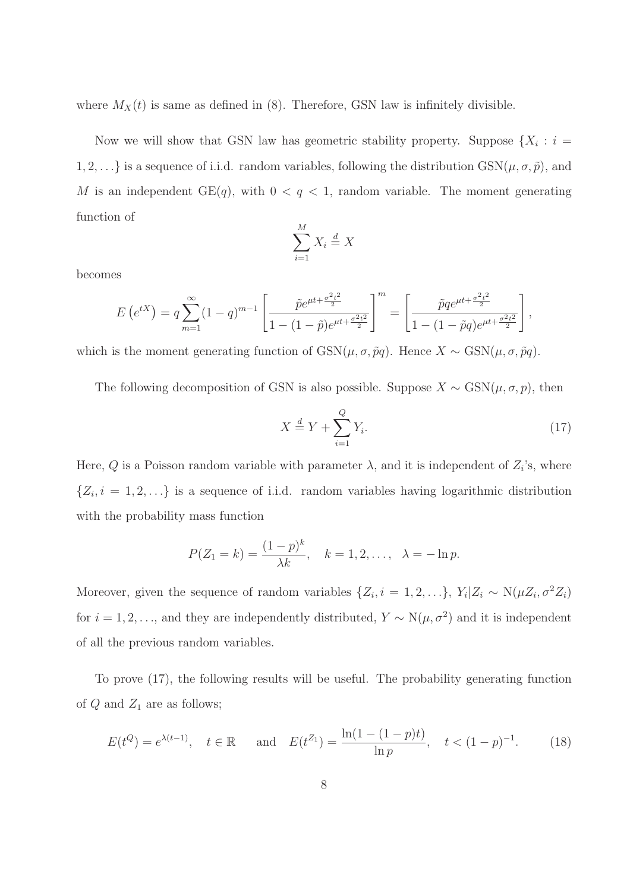where  $M_X(t)$  is same as defined in (8). Therefore, GSN law is infinitely divisible.

Now we will show that GSN law has geometric stability property. Suppose  $\{X_i : i =$ 1, 2, . . .} is a sequence of i.i.d. random variables, following the distribution  $GSN(\mu, \sigma, \tilde{p})$ , and M is an independent  $GE(q)$ , with  $0 < q < 1$ , random variable. The moment generating function of

$$
\sum_{i=1}^{M} X_i \stackrel{d}{=} X
$$

becomes

$$
E\left(e^{tX}\right) = q \sum_{m=1}^{\infty} (1-q)^{m-1} \left[ \frac{\tilde{p}e^{\mu t + \frac{\sigma^2 t^2}{2}}}{1 - (1-\tilde{p})e^{\mu t + \frac{\sigma^2 t^2}{2}}} \right]^m = \left[ \frac{\tilde{p}qe^{\mu t + \frac{\sigma^2 t^2}{2}}}{1 - (1-\tilde{p}q)e^{\mu t + \frac{\sigma^2 t^2}{2}}} \right],
$$

which is the moment generating function of  $GSN(\mu, \sigma, \tilde{p}q)$ . Hence  $X \sim \text{GSN}(\mu, \sigma, \tilde{p}q)$ .

The following decomposition of GSN is also possible. Suppose  $X \sim \text{GSN}(\mu, \sigma, p)$ , then

$$
X \stackrel{d}{=} Y + \sum_{i=1}^{Q} Y_i. \tag{17}
$$

Here, Q is a Poisson random variable with parameter  $\lambda$ , and it is independent of  $Z_i$ 's, where  $\{Z_i, i = 1, 2, \ldots\}$  is a sequence of i.i.d. random variables having logarithmic distribution with the probability mass function

$$
P(Z_1 = k) = \frac{(1-p)^k}{\lambda k}, \quad k = 1, 2, ..., \quad \lambda = -\ln p.
$$

Moreover, given the sequence of random variables  $\{Z_i, i = 1, 2, ...\}$ ,  $Y_i | Z_i \sim N(\mu Z_i, \sigma^2 Z_i)$ for  $i = 1, 2, \ldots$ , and they are independently distributed,  $Y \sim N(\mu, \sigma^2)$  and it is independent of all the previous random variables.

To prove (17), the following results will be useful. The probability generating function of  $Q$  and  $Z_1$  are as follows;

$$
E(t^Q) = e^{\lambda(t-1)}
$$
,  $t \in \mathbb{R}$  and  $E(t^{Z_1}) = \frac{\ln(1 - (1 - p)t)}{\ln p}$ ,  $t < (1 - p)^{-1}$ . (18)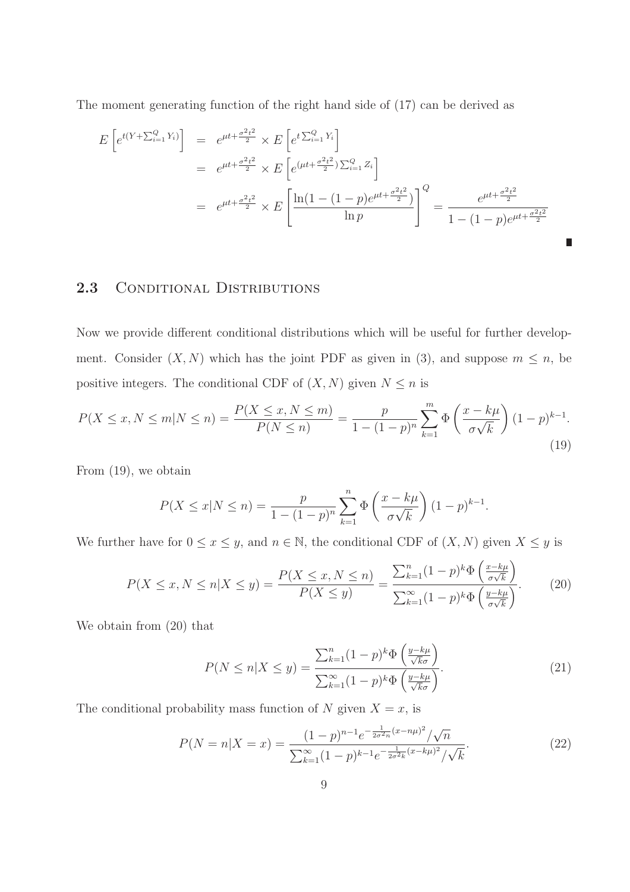The moment generating function of the right hand side of (17) can be derived as

$$
E\left[e^{t(Y+\sum_{i=1}^{Q}Y_i)}\right] = e^{\mu t + \frac{\sigma^2 t^2}{2}} \times E\left[e^{t\sum_{i=1}^{Q}Y_i}\right]
$$
  
\n
$$
= e^{\mu t + \frac{\sigma^2 t^2}{2}} \times E\left[e^{(\mu t + \frac{\sigma^2 t^2}{2})\sum_{i=1}^{Q}Z_i}\right]
$$
  
\n
$$
= e^{\mu t + \frac{\sigma^2 t^2}{2}} \times E\left[\frac{\ln(1 - (1 - p)e^{\mu t + \frac{\sigma^2 t^2}{2}})}{\ln p}\right]^Q = \frac{e^{\mu t + \frac{\sigma^2 t^2}{2}}}{1 - (1 - p)e^{\mu t + \frac{\sigma^2 t^2}{2}}}
$$

#### 2.3 CONDITIONAL DISTRIBUTIONS

Now we provide different conditional distributions which will be useful for further development. Consider  $(X, N)$  which has the joint PDF as given in (3), and suppose  $m \leq n$ , be positive integers. The conditional CDF of  $(X, N)$  given  $N \leq n$  is

$$
P(X \le x, N \le m | N \le n) = \frac{P(X \le x, N \le m)}{P(N \le n)} = \frac{p}{1 - (1 - p)^n} \sum_{k=1}^{m} \Phi\left(\frac{x - k\mu}{\sigma\sqrt{k}}\right) (1 - p)^{k-1}.
$$
\n(19)

From (19), we obtain

$$
P(X \le x | N \le n) = \frac{p}{1 - (1 - p)^n} \sum_{k=1}^n \Phi\left(\frac{x - k\mu}{\sigma\sqrt{k}}\right) (1 - p)^{k-1}.
$$

We further have for  $0 \le x \le y$ , and  $n \in \mathbb{N}$ , the conditional CDF of  $(X, N)$  given  $X \le y$  is

$$
P(X \le x, N \le n | X \le y) = \frac{P(X \le x, N \le n)}{P(X \le y)} = \frac{\sum_{k=1}^{n} (1-p)^{k} \Phi\left(\frac{x-k\mu}{\sigma\sqrt{k}}\right)}{\sum_{k=1}^{\infty} (1-p)^{k} \Phi\left(\frac{y-k\mu}{\sigma\sqrt{k}}\right)}.
$$
(20)

We obtain from (20) that

$$
P(N \le n | X \le y) = \frac{\sum_{k=1}^{n} (1-p)^k \Phi\left(\frac{y-k\mu}{\sqrt{k}\sigma}\right)}{\sum_{k=1}^{\infty} (1-p)^k \Phi\left(\frac{y-k\mu}{\sqrt{k}\sigma}\right)}.
$$
\n(21)

The conditional probability mass function of  $N$  given  $X = x$ , is

$$
P(N = n|X = x) = \frac{(1-p)^{n-1}e^{-\frac{1}{2\sigma^2 n}(x-n\mu)^2}/\sqrt{n}}{\sum_{k=1}^{\infty}(1-p)^{k-1}e^{-\frac{1}{2\sigma^2 k}(x-k\mu)^2}/\sqrt{k}}.
$$
(22)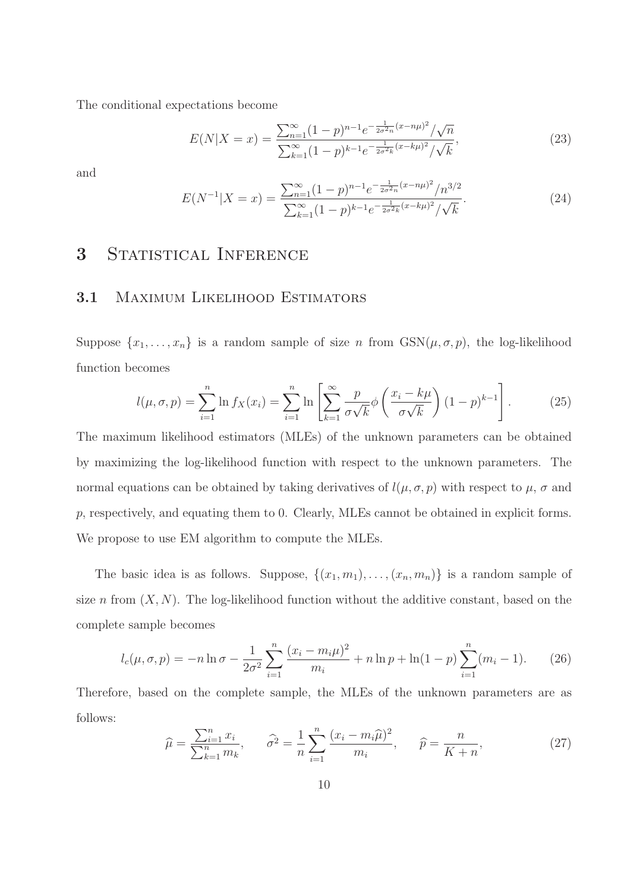The conditional expectations become

$$
E(N|X=x) = \frac{\sum_{n=1}^{\infty} (1-p)^{n-1} e^{-\frac{1}{2\sigma^2 n}(x-n\mu)^2} / \sqrt{n}}{\sum_{k=1}^{\infty} (1-p)^{k-1} e^{-\frac{1}{2\sigma^2 k}(x-k\mu)^2} / \sqrt{k}},
$$
\n(23)

and

$$
E(N^{-1}|X=x) = \frac{\sum_{n=1}^{\infty} (1-p)^{n-1} e^{-\frac{1}{2\sigma^2 n}(x-n\mu)^2} / n^{3/2}}{\sum_{k=1}^{\infty} (1-p)^{k-1} e^{-\frac{1}{2\sigma^2 k}(x-k\mu)^2} / \sqrt{k}}.
$$
(24)

# 3 STATISTICAL INFERENCE

#### 3.1 MAXIMUM LIKELIHOOD ESTIMATORS

Suppose  $\{x_1, \ldots, x_n\}$  is a random sample of size n from  $GSN(\mu, \sigma, p)$ , the log-likelihood function becomes

$$
l(\mu, \sigma, p) = \sum_{i=1}^{n} \ln f_X(x_i) = \sum_{i=1}^{n} \ln \left[ \sum_{k=1}^{\infty} \frac{p}{\sigma \sqrt{k}} \phi \left( \frac{x_i - k\mu}{\sigma \sqrt{k}} \right) (1 - p)^{k-1} \right].
$$
 (25)

The maximum likelihood estimators (MLEs) of the unknown parameters can be obtained by maximizing the log-likelihood function with respect to the unknown parameters. The normal equations can be obtained by taking derivatives of  $l(\mu, \sigma, p)$  with respect to  $\mu$ ,  $\sigma$  and p, respectively, and equating them to 0. Clearly, MLEs cannot be obtained in explicit forms. We propose to use EM algorithm to compute the MLEs.

The basic idea is as follows. Suppose,  $\{(x_1, m_1), \ldots, (x_n, m_n)\}\$ is a random sample of size n from  $(X, N)$ . The log-likelihood function without the additive constant, based on the complete sample becomes

$$
l_c(\mu, \sigma, p) = -n \ln \sigma - \frac{1}{2\sigma^2} \sum_{i=1}^n \frac{(x_i - m_i \mu)^2}{m_i} + n \ln p + \ln(1 - p) \sum_{i=1}^n (m_i - 1).
$$
 (26)

Therefore, based on the complete sample, the MLEs of the unknown parameters are as follows:

$$
\widehat{\mu} = \frac{\sum_{i=1}^{n} x_i}{\sum_{k=1}^{n} m_k}, \qquad \widehat{\sigma}^2 = \frac{1}{n} \sum_{i=1}^{n} \frac{(x_i - m_i \widehat{\mu})^2}{m_i}, \qquad \widehat{p} = \frac{n}{K + n},
$$
\n(27)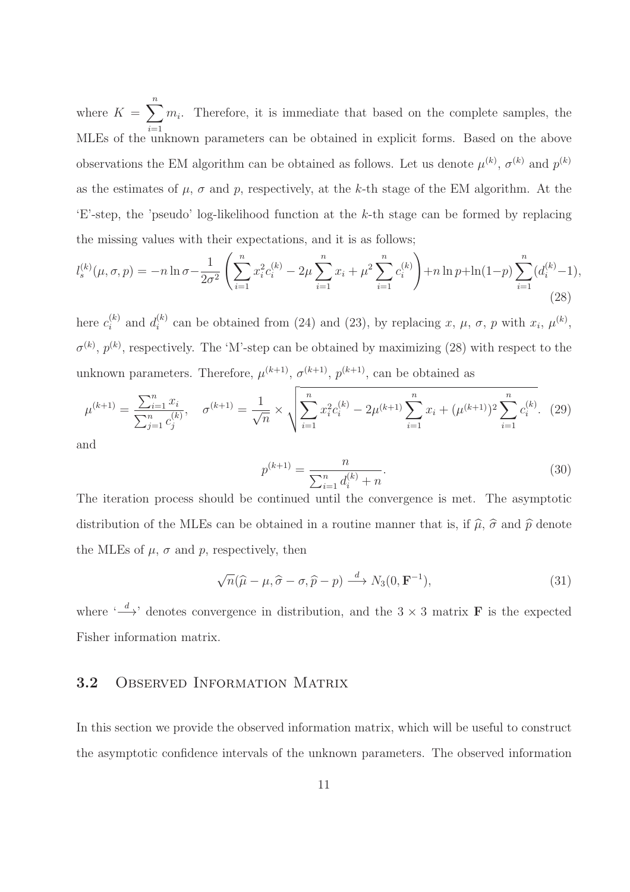where  $K = \sum_{i=1}^{n} m_i$ . Therefore, it is immediate that based on the complete samples, the MLEs of the unknown parameters can be obtained in explicit forms. Based on the above observations the EM algorithm can be obtained as follows. Let us denote  $\mu^{(k)}$ ,  $\sigma^{(k)}$  and  $p^{(k)}$ as the estimates of  $\mu$ ,  $\sigma$  and  $p$ , respectively, at the k-th stage of the EM algorithm. At the 'E'-step, the 'pseudo' log-likelihood function at the k-th stage can be formed by replacing the missing values with their expectations, and it is as follows;

$$
l_s^{(k)}(\mu, \sigma, p) = -n \ln \sigma - \frac{1}{2\sigma^2} \left( \sum_{i=1}^n x_i^2 c_i^{(k)} - 2\mu \sum_{i=1}^n x_i + \mu^2 \sum_{i=1}^n c_i^{(k)} \right) + n \ln p + \ln(1-p) \sum_{i=1}^n (d_i^{(k)} - 1),
$$
\n(28)

here  $c_i^{(k)}$  $i^{(k)}$  and  $d_i^{(k)}$ <sup>(k)</sup> can be obtained from (24) and (23), by replacing x,  $\mu$ ,  $\sigma$ , p with  $x_i$ ,  $\mu^{(k)}$ ,  $\sigma^{(k)}$ ,  $p^{(k)}$ , respectively. The 'M'-step can be obtained by maximizing (28) with respect to the unknown parameters. Therefore,  $\mu^{(k+1)}$ ,  $\sigma^{(k+1)}$ ,  $p^{(k+1)}$ , can be obtained as

$$
\mu^{(k+1)} = \frac{\sum_{i=1}^{n} x_i}{\sum_{j=1}^{n} c_j^{(k)}}, \quad \sigma^{(k+1)} = \frac{1}{\sqrt{n}} \times \sqrt{\sum_{i=1}^{n} x_i^2 c_i^{(k)} - 2\mu^{(k+1)} \sum_{i=1}^{n} x_i + (\mu^{(k+1)})^2 \sum_{i=1}^{n} c_i^{(k)}}.
$$
 (29)

and

$$
p^{(k+1)} = \frac{n}{\sum_{i=1}^{n} d_i^{(k)} + n}.
$$
\n(30)

The iteration process should be continued until the convergence is met. The asymptotic distribution of the MLEs can be obtained in a routine manner that is, if  $\hat{\mu}$ ,  $\hat{\sigma}$  and  $\hat{p}$  denote the MLEs of  $\mu$ ,  $\sigma$  and  $p$ , respectively, then

$$
\sqrt{n}(\widehat{\mu} - \mu, \widehat{\sigma} - \sigma, \widehat{p} - p) \xrightarrow{d} N_3(0, \mathbf{F}^{-1}),
$$
\n(31)

where  $\leftarrow d$  denotes convergence in distribution, and the 3  $\times$  3 matrix **F** is the expected Fisher information matrix.

#### 3.2 Observed Information Matrix

In this section we provide the observed information matrix, which will be useful to construct the asymptotic confidence intervals of the unknown parameters. The observed information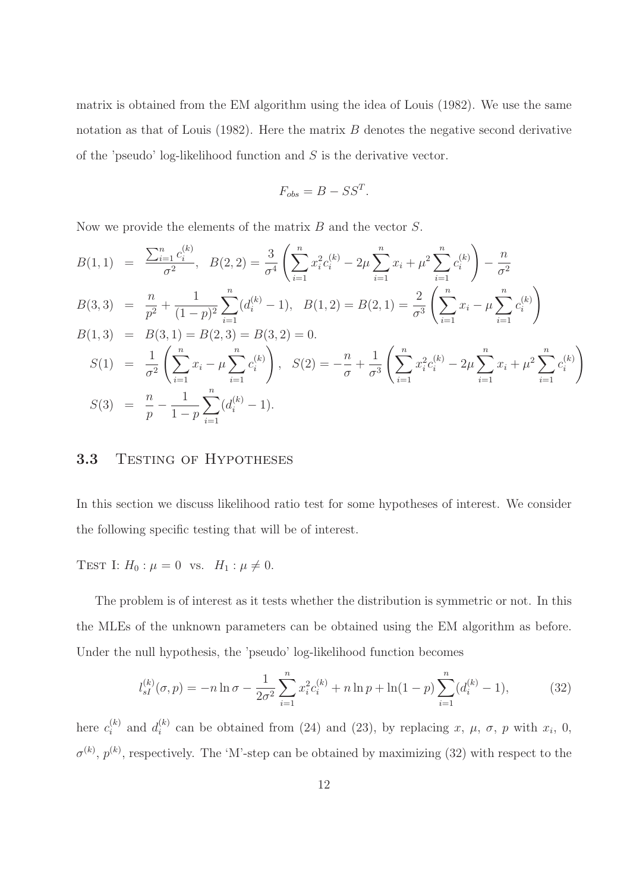matrix is obtained from the EM algorithm using the idea of Louis (1982). We use the same notation as that of Louis  $(1982)$ . Here the matrix B denotes the negative second derivative of the 'pseudo' log-likelihood function and  $S$  is the derivative vector.

$$
F_{obs} = B - SS^T.
$$

Now we provide the elements of the matrix  $B$  and the vector  $S$ .

$$
B(1,1) = \frac{\sum_{i=1}^{n} c_i^{(k)}}{\sigma^2}, \quad B(2,2) = \frac{3}{\sigma^4} \left( \sum_{i=1}^{n} x_i^2 c_i^{(k)} - 2\mu \sum_{i=1}^{n} x_i + \mu^2 \sum_{i=1}^{n} c_i^{(k)} \right) - \frac{n}{\sigma^2}
$$
  
\n
$$
B(3,3) = \frac{n}{p^2} + \frac{1}{(1-p)^2} \sum_{i=1}^{n} (d_i^{(k)} - 1), \quad B(1,2) = B(2,1) = \frac{2}{\sigma^3} \left( \sum_{i=1}^{n} x_i - \mu \sum_{i=1}^{n} c_i^{(k)} \right)
$$
  
\n
$$
B(1,3) = B(3,1) = B(2,3) = B(3,2) = 0.
$$
  
\n
$$
S(1) = \frac{1}{\sigma^2} \left( \sum_{i=1}^{n} x_i - \mu \sum_{i=1}^{n} c_i^{(k)} \right), \quad S(2) = -\frac{n}{\sigma} + \frac{1}{\sigma^3} \left( \sum_{i=1}^{n} x_i^2 c_i^{(k)} - 2\mu \sum_{i=1}^{n} x_i + \mu^2 \sum_{i=1}^{n} c_i^{(k)} \right)
$$
  
\n
$$
S(3) = \frac{n}{p} - \frac{1}{1-p} \sum_{i=1}^{n} (d_i^{(k)} - 1).
$$

#### 3.3 TESTING OF HYPOTHESES

In this section we discuss likelihood ratio test for some hypotheses of interest. We consider the following specific testing that will be of interest.

TEST I:  $H_0: \mu = 0$  vs.  $H_1: \mu \neq 0$ .

The problem is of interest as it tests whether the distribution is symmetric or not. In this the MLEs of the unknown parameters can be obtained using the EM algorithm as before. Under the null hypothesis, the 'pseudo' log-likelihood function becomes

$$
l_{sI}^{(k)}(\sigma, p) = -n \ln \sigma - \frac{1}{2\sigma^2} \sum_{i=1}^n x_i^2 c_i^{(k)} + n \ln p + \ln(1-p) \sum_{i=1}^n (d_i^{(k)} - 1),
$$
 (32)

here  $c_i^{(k)}$  $i^{(k)}$  and  $d_i^{(k)}$  $i^{(k)}$  can be obtained from (24) and (23), by replacing x,  $\mu$ ,  $\sigma$ , p with  $x_i$ , 0,  $\sigma^{(k)}$ ,  $p^{(k)}$ , respectively. The 'M'-step can be obtained by maximizing (32) with respect to the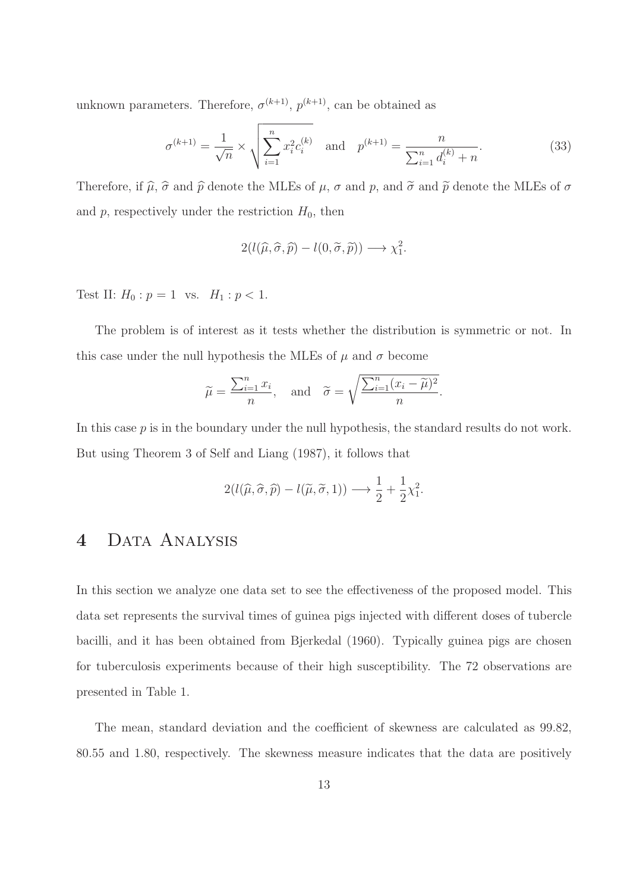unknown parameters. Therefore,  $\sigma^{(k+1)}$ ,  $p^{(k+1)}$ , can be obtained as

$$
\sigma^{(k+1)} = \frac{1}{\sqrt{n}} \times \sqrt{\sum_{i=1}^{n} x_i^2 c_i^{(k)}} \quad \text{and} \quad p^{(k+1)} = \frac{n}{\sum_{i=1}^{n} d_i^{(k)} + n}.
$$
 (33)

Therefore, if  $\hat{\mu}$ ,  $\hat{\sigma}$  and  $\hat{p}$  denote the MLEs of  $\mu$ ,  $\sigma$  and  $p$ , and  $\tilde{\sigma}$  and  $\tilde{p}$  denote the MLEs of  $\sigma$ and  $p$ , respectively under the restriction  $H_0$ , then

$$
2(l(\widehat{\mu}, \widehat{\sigma}, \widehat{p}) - l(0, \widetilde{\sigma}, \widetilde{p})) \longrightarrow \chi_1^2.
$$

Test II:  $H_0: p = 1$  vs.  $H_1: p < 1$ .

The problem is of interest as it tests whether the distribution is symmetric or not. In this case under the null hypothesis the MLEs of  $\mu$  and  $\sigma$  become

$$
\widetilde{\mu} = \frac{\sum_{i=1}^{n} x_i}{n}
$$
, and  $\widetilde{\sigma} = \sqrt{\frac{\sum_{i=1}^{n} (x_i - \widetilde{\mu})^2}{n}}$ .

In this case  $p$  is in the boundary under the null hypothesis, the standard results do not work. But using Theorem 3 of Self and Liang (1987), it follows that

$$
2(l(\widehat{\mu}, \widehat{\sigma}, \widehat{p}) - l(\widetilde{\mu}, \widetilde{\sigma}, 1)) \longrightarrow \frac{1}{2} + \frac{1}{2}\chi_1^2.
$$

# 4 DATA ANALYSIS

In this section we analyze one data set to see the effectiveness of the proposed model. This data set represents the survival times of guinea pigs injected with different doses of tubercle bacilli, and it has been obtained from Bjerkedal (1960). Typically guinea pigs are chosen for tuberculosis experiments because of their high susceptibility. The 72 observations are presented in Table 1.

The mean, standard deviation and the coefficient of skewness are calculated as 99.82, 80.55 and 1.80, respectively. The skewness measure indicates that the data are positively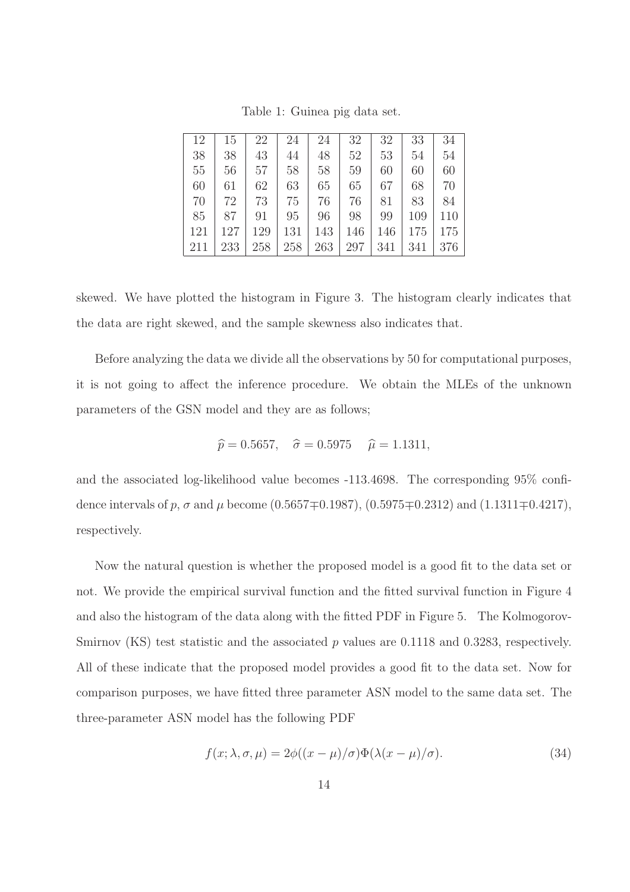| 12  | 15  | 22  | 24  | 24  | 32  | 32  | 33  | 34  |
|-----|-----|-----|-----|-----|-----|-----|-----|-----|
| 38  | 38  | 43  | 44  | 48  | 52  | 53  | 54  | 54  |
| 55  | 56  | 57  | 58  | 58  | 59  | 60  | 60  | 60  |
| 60  | 61  | 62  | 63  | 65  | 65  | 67  | 68  | 70  |
| 70  | 72  | 73  | 75  | 76  | 76  | 81  | 83  | 84  |
| 85  | 87  | 91  | 95  | 96  | 98  | 99  | 109 | 110 |
| 121 | 127 | 129 | 131 | 143 | 146 | 146 | 175 | 175 |
| 211 | 233 | 258 | 258 | 263 | 297 | 341 | 341 | 376 |

Table 1: Guinea pig data set.

skewed. We have plotted the histogram in Figure 3. The histogram clearly indicates that the data are right skewed, and the sample skewness also indicates that.

Before analyzing the data we divide all the observations by 50 for computational purposes, it is not going to affect the inference procedure. We obtain the MLEs of the unknown parameters of the GSN model and they are as follows;

$$
\hat{p} = 0.5657, \quad \hat{\sigma} = 0.5975 \quad \hat{\mu} = 1.1311,
$$

and the associated log-likelihood value becomes -113.4698. The corresponding 95% confidence intervals of p,  $\sigma$  and  $\mu$  become (0.5657 $\mp$ 0.1987), (0.5975 $\mp$ 0.2312) and (1.1311 $\mp$ 0.4217), respectively.

Now the natural question is whether the proposed model is a good fit to the data set or not. We provide the empirical survival function and the fitted survival function in Figure 4 and also the histogram of the data along with the fitted PDF in Figure 5. The Kolmogorov-Smirnov (KS) test statistic and the associated  $p$  values are 0.1118 and 0.3283, respectively. All of these indicate that the proposed model provides a good fit to the data set. Now for comparison purposes, we have fitted three parameter ASN model to the same data set. The three-parameter ASN model has the following PDF

$$
f(x; \lambda, \sigma, \mu) = 2\phi((x - \mu)/\sigma)\Phi(\lambda(x - \mu)/\sigma).
$$
 (34)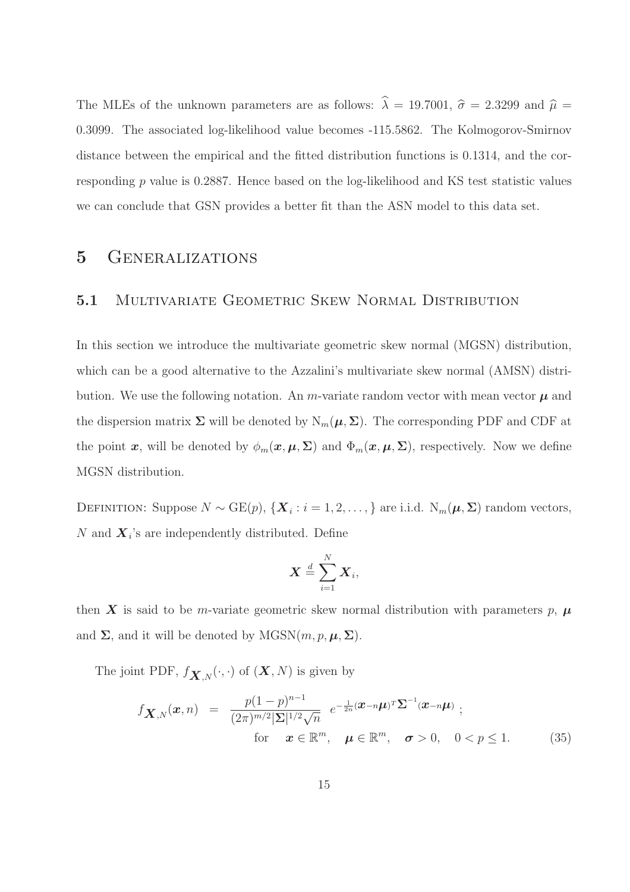The MLEs of the unknown parameters are as follows:  $\hat{\lambda} = 19.7001$ ,  $\hat{\sigma} = 2.3299$  and  $\hat{\mu} =$ 0.3099. The associated log-likelihood value becomes -115.5862. The Kolmogorov-Smirnov distance between the empirical and the fitted distribution functions is 0.1314, and the corresponding p value is 0.2887. Hence based on the log-likelihood and KS test statistic values we can conclude that GSN provides a better fit than the ASN model to this data set.

# 5 Generalizations

#### 5.1 Multivariate Geometric Skew Normal Distribution

In this section we introduce the multivariate geometric skew normal (MGSN) distribution, which can be a good alternative to the Azzalini's multivariate skew normal (AMSN) distribution. We use the following notation. An *m*-variate random vector with mean vector  $\mu$  and the dispersion matrix  $\Sigma$  will be denoted by  $N_m(\mu, \Sigma)$ . The corresponding PDF and CDF at the point x, will be denoted by  $\phi_m(x,\mu,\Sigma)$  and  $\Phi_m(x,\mu,\Sigma)$ , respectively. Now we define MGSN distribution.

DEFINITION: Suppose  $N \sim \text{GE}(p)$ ,  $\{ \boldsymbol{X}_i : i = 1, 2, ..., \}$  are i.i.d.  $N_m(\boldsymbol{\mu}, \boldsymbol{\Sigma})$  random vectors, N and  $\boldsymbol{X}_i$ 's are independently distributed. Define

$$
\boldsymbol{X} \stackrel{d}{=} \sum_{i=1}^N \boldsymbol{X}_i,
$$

then X is said to be m-variate geometric skew normal distribution with parameters p,  $\mu$ and  $\Sigma$ , and it will be denoted by MGSN $(m, p, \mu, \Sigma)$ .

The joint PDF,  $f_{\mathbf{X},N}(\cdot,\cdot)$  of  $(\mathbf{X},N)$  is given by

$$
f_{\mathbf{X},N}(\boldsymbol{x},n) = \frac{p(1-p)^{n-1}}{(2\pi)^{m/2}|\boldsymbol{\Sigma}|^{1/2}\sqrt{n}} e^{-\frac{1}{2n}(\boldsymbol{x}-n\boldsymbol{\mu})^T\boldsymbol{\Sigma}^{-1}(\boldsymbol{x}-n\boldsymbol{\mu})};
$$
  
for  $\boldsymbol{x} \in \mathbb{R}^m$ ,  $\boldsymbol{\mu} \in \mathbb{R}^m$ ,  $\boldsymbol{\sigma} > 0$ ,  $0 < p \le 1$ . (35)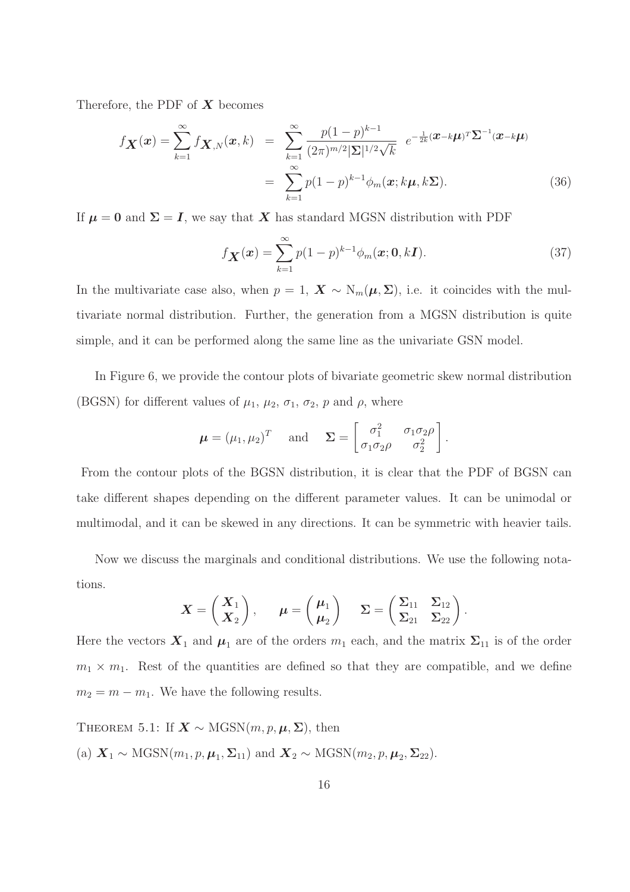Therefore, the PDF of  $X$  becomes

$$
f_{\boldsymbol{X}}(\boldsymbol{x}) = \sum_{k=1}^{\infty} f_{\boldsymbol{X},N}(\boldsymbol{x},k) = \sum_{k=1}^{\infty} \frac{p(1-p)^{k-1}}{(2\pi)^{m/2} |\boldsymbol{\Sigma}|^{1/2} \sqrt{k}} e^{-\frac{1}{2k} (\boldsymbol{x}-k\boldsymbol{\mu})^T \boldsymbol{\Sigma}^{-1} (\boldsymbol{x}-k\boldsymbol{\mu})}
$$

$$
= \sum_{k=1}^{\infty} p(1-p)^{k-1} \phi_m(\boldsymbol{x}; k\boldsymbol{\mu}, k\boldsymbol{\Sigma}). \tag{36}
$$

If  $\mu = 0$  and  $\Sigma = I$ , we say that X has standard MGSN distribution with PDF

$$
f_{\mathbf{X}}(\mathbf{x}) = \sum_{k=1}^{\infty} p(1-p)^{k-1} \phi_m(\mathbf{x}; \mathbf{0}, k\mathbf{I}).
$$
 (37)

In the multivariate case also, when  $p = 1$ ,  $\mathbf{X} \sim \mathrm{N}_m(\boldsymbol{\mu}, \boldsymbol{\Sigma})$ , i.e. it coincides with the multivariate normal distribution. Further, the generation from a MGSN distribution is quite simple, and it can be performed along the same line as the univariate GSN model.

In Figure 6, we provide the contour plots of bivariate geometric skew normal distribution (BGSN) for different values of  $\mu_1$ ,  $\mu_2$ ,  $\sigma_1$ ,  $\sigma_2$ ,  $p$  and  $\rho$ , where

$$
\boldsymbol{\mu} = (\mu_1, \mu_2)^T
$$
 and  $\boldsymbol{\Sigma} = \begin{bmatrix} \sigma_1^2 & \sigma_1 \sigma_2 \rho \\ \sigma_1 \sigma_2 \rho & \sigma_2^2 \end{bmatrix}$ .

From the contour plots of the BGSN distribution, it is clear that the PDF of BGSN can take different shapes depending on the different parameter values. It can be unimodal or multimodal, and it can be skewed in any directions. It can be symmetric with heavier tails.

Now we discuss the marginals and conditional distributions. We use the following notations.

$$
\boldsymbol{X} = \begin{pmatrix} \boldsymbol{X}_1 \\ \boldsymbol{X}_2 \end{pmatrix}, \quad \boldsymbol{\mu} = \begin{pmatrix} \boldsymbol{\mu}_1 \\ \boldsymbol{\mu}_2 \end{pmatrix} \quad \boldsymbol{\Sigma} = \begin{pmatrix} \boldsymbol{\Sigma}_{11} & \boldsymbol{\Sigma}_{12} \\ \boldsymbol{\Sigma}_{21} & \boldsymbol{\Sigma}_{22} \end{pmatrix}.
$$

Here the vectors  $\mathbf{X}_1$  and  $\boldsymbol{\mu}_1$  are of the orders  $m_1$  each, and the matrix  $\Sigma_{11}$  is of the order  $m_1 \times m_1$ . Rest of the quantities are defined so that they are compatible, and we define  $m_2 = m - m_1$ . We have the following results.

THEOREM 5.1: If  $\mathbf{X} \sim \text{MGSN}(m, p, \mu, \Sigma)$ , then (a)  $\mathbf{X}_1 \sim \text{MGSN}(m_1, p, \mu_1, \Sigma_{11})$  and  $\mathbf{X}_2 \sim \text{MGSN}(m_2, p, \mu_2, \Sigma_{22})$ .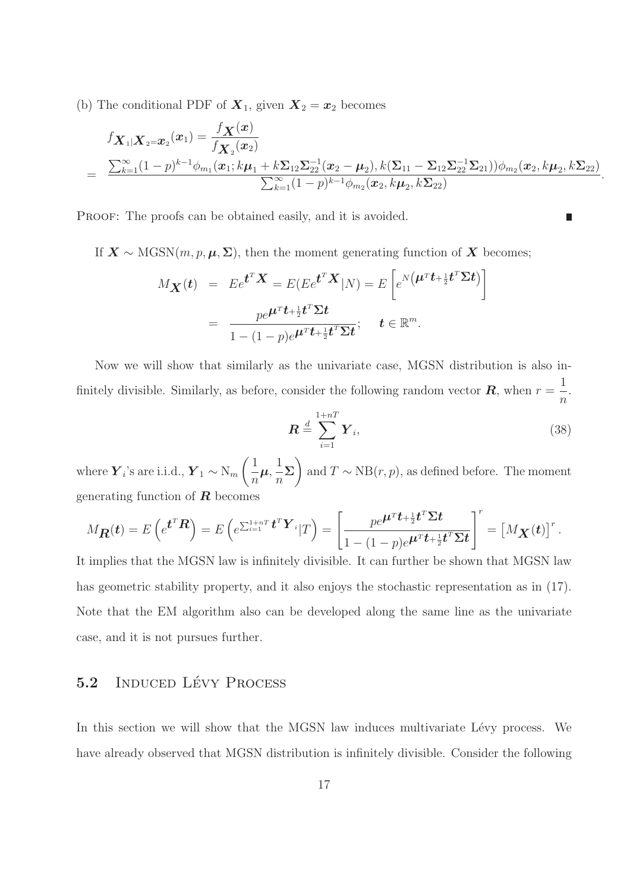(b) The conditional PDF of  $X_1$ , given  $X_2 = x_2$  becomes

$$
f_{\mathbf{X}_1|\mathbf{X}_2=\mathbf{x}_2}(\mathbf{x}_1) = \frac{f_{\mathbf{X}}(\mathbf{x})}{f_{\mathbf{X}_2}(\mathbf{x}_2)}
$$
  
= 
$$
\frac{\sum_{k=1}^{\infty} (1-p)^{k-1} \phi_{m_1}(\mathbf{x}_1; k\mu_1 + k \sum_{12} \sum_{22}^{-1} (\mathbf{x}_2 - \mu_2), k(\sum_{11} - \sum_{12} \sum_{22}^{-1} \sum_{21})) \phi_{m_2}(\mathbf{x}_2, k\mu_2, k \sum_{22})}{\sum_{k=1}^{\infty} (1-p)^{k-1} \phi_{m_2}(\mathbf{x}_2, k\mu_2, k \sum_{22})}
$$

PROOF: The proofs can be obtained easily, and it is avoided.

If 
$$
\mathbf{X} \sim \text{MGSN}(m, p, \boldsymbol{\mu}, \boldsymbol{\Sigma})
$$
, then the moment generating function of  $\mathbf{X}$  becomes;  
\n
$$
M_{\mathbf{X}}(t) = E e^{t^T \mathbf{X}} = E(E e^{t^T \mathbf{X}} | N) = E\left[e^{N\left(\boldsymbol{\mu}^T t + \frac{1}{2}t^T \boldsymbol{\Sigma} t\right)}\right]
$$
\n
$$
= \frac{pe^{\boldsymbol{\mu}^T t + \frac{1}{2}t^T \boldsymbol{\Sigma} t}}{1 - (1 - p)e^{\boldsymbol{\mu}^T t + \frac{1}{2}t^T \boldsymbol{\Sigma} t}}; \quad t \in \mathbb{R}^m.
$$

Now we will show that similarly as the univariate case, MGSN distribution is also infinitely divisible. Similarly, as before, consider the following random vector  $\boldsymbol{R}$ , when  $r=\frac{1}{\sqrt{2}}$  $\overline{n}$ .

$$
\boldsymbol{R} \stackrel{d}{=} \sum_{i=1}^{1+nT} \boldsymbol{Y}_i,\tag{38}
$$

.

П

where  $\boldsymbol{Y}_i$ 's are i.i.d.,  $\boldsymbol{Y}_1 \sim N_m$  $(1)$ n  $\boldsymbol{\mu}, \frac{1}{\boldsymbol{\tau}}$ n  $\Sigma$ and  $T \sim NB(r, p)$ , as defined before. The moment generating function of  $\bf{R}$  becomes

$$
M_{\boldsymbol{R}}(t) = E\left(e^{\boldsymbol{t}^T\boldsymbol{R}}\right) = E\left(e^{\sum_{i=1}^{1+nT} \boldsymbol{t}^T\boldsymbol{Y}_i} | T\right) = \left[\frac{pe^{\boldsymbol{\mu}^T\boldsymbol{t} + \frac{1}{2}\boldsymbol{t}^T\boldsymbol{\Sigma}\boldsymbol{t}}}{1 - (1-p)e^{\boldsymbol{\mu}^T\boldsymbol{t} + \frac{1}{2}\boldsymbol{t}^T\boldsymbol{\Sigma}\boldsymbol{t}}}\right]^r = \left[M_{\boldsymbol{X}}(t)\right]^r.
$$

It implies that the MGSN law is infinitely divisible. It can further be shown that MGSN law has geometric stability property, and it also enjoys the stochastic representation as in  $(17)$ . Note that the EM algorithm also can be developed along the same line as the univariate case, and it is not pursues further.

### 5.2 INDUCED LÉVY PROCESS

In this section we will show that the MGSN law induces multivariate Lévy process. We have already observed that MGSN distribution is infinitely divisible. Consider the following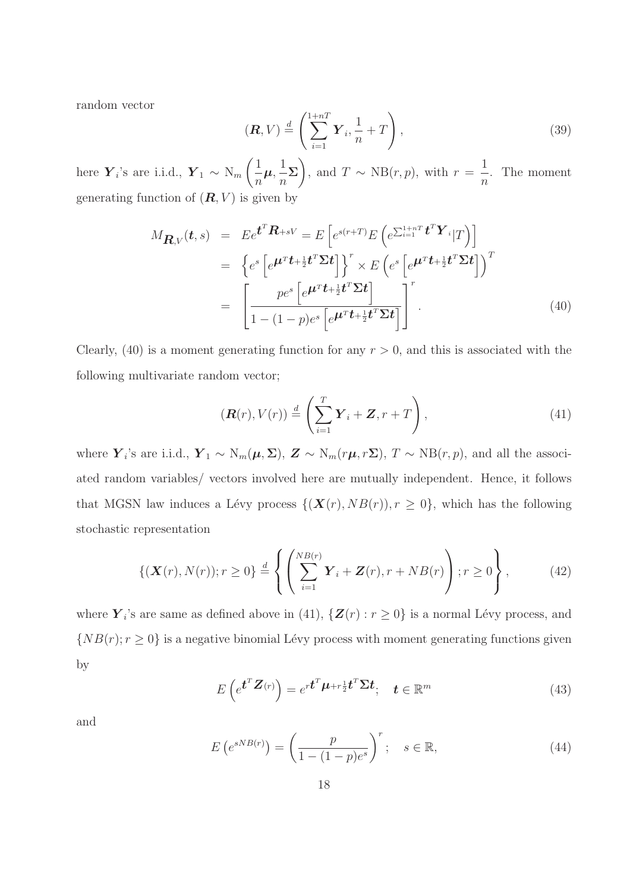random vector

$$
(\boldsymbol{R}, V) \stackrel{d}{=} \left( \sum_{i=1}^{1+nT} \boldsymbol{Y}_i, \frac{1}{n} + T \right), \tag{39}
$$

here  $\boldsymbol{Y}_i$ 's are i.i.d.,  $\boldsymbol{Y}_1 \sim N_m$  $(1)$ n  $\boldsymbol{\mu}, \frac{1}{\tau}$  $\overline{n}$  $\Sigma$ , and  $T \sim NB(r, p)$ , with  $r =$ 1 n . The moment generating function of  $(R, V)$  is given by

$$
M_{\mathbf{R},V}(t,s) = E e^{\mathbf{t}^T \mathbf{R} + sV} = E \left[ e^{s(r+T)} E \left( e^{\sum_{i=1}^{1+nT} \mathbf{t}^T \mathbf{Y}_i} | T \right) \right]
$$
  
\n
$$
= \left\{ e^s \left[ e^{\mathbf{\mu}^T \mathbf{t} + \frac{1}{2} \mathbf{t}^T \mathbf{\Sigma} \mathbf{t}} \right] \right\}^r \times E \left( e^s \left[ e^{\mathbf{\mu}^T \mathbf{t} + \frac{1}{2} \mathbf{t}^T \mathbf{\Sigma} \mathbf{t}} \right] \right)^T
$$
  
\n
$$
= \left[ \frac{p e^s \left[ e^{\mathbf{\mu}^T \mathbf{t} + \frac{1}{2} \mathbf{t}^T \mathbf{\Sigma} \mathbf{t}} \right]}{1 - (1 - p) e^s \left[ e^{\mathbf{\mu}^T \mathbf{t} + \frac{1}{2} \mathbf{t}^T \mathbf{\Sigma} \mathbf{t}} \right]} \right]^r.
$$
\n(40)

Clearly, (40) is a moment generating function for any  $r > 0$ , and this is associated with the following multivariate random vector;

$$
(\mathbf{R}(r), V(r)) \stackrel{d}{=} \left(\sum_{i=1}^{T} \mathbf{Y}_i + \mathbf{Z}, r + T\right), \tag{41}
$$

where  $\boldsymbol{Y}_i$ 's are i.i.d.,  $\boldsymbol{Y}_1 \sim \text{N}_m(\boldsymbol{\mu}, \boldsymbol{\Sigma})$ ,  $\boldsymbol{Z} \sim \text{N}_m(r\boldsymbol{\mu}, r\boldsymbol{\Sigma})$ ,  $T \sim \text{NB}(r, p)$ , and all the associated random variables/ vectors involved here are mutually independent. Hence, it follows that MGSN law induces a Lévy process  $\{(\mathbf{X}(r), NB(r)), r \ge 0\}$ , which has the following stochastic representation

$$
\left\{ (\bm{X}(r), N(r)); r \ge 0 \right\} \stackrel{d}{=} \left\{ \left( \sum_{i=1}^{NB(r)} \bm{Y}_i + \bm{Z}(r), r + NB(r) \right); r \ge 0 \right\}, \tag{42}
$$

where  $\boldsymbol{Y}_i$ 's are same as defined above in (41),  $\{\boldsymbol{Z}(r): r \ge 0\}$  is a normal Lévy process, and  $\{NB(r); r \geq 0\}$  is a negative binomial Lévy process with moment generating functions given by

$$
E\left(e^{\boldsymbol{t}^{T}\boldsymbol{Z}(r)}\right)=e^{r\boldsymbol{t}^{T}\boldsymbol{\mu}+r\frac{1}{2}\boldsymbol{t}^{T}\boldsymbol{\Sigma}\boldsymbol{t}};\quad\boldsymbol{t}\in\mathbb{R}^{m}
$$
\n(43)

and

$$
E\left(e^{sNB(r)}\right) = \left(\frac{p}{1 - (1 - p)e^s}\right)^r; \quad s \in \mathbb{R},\tag{44}
$$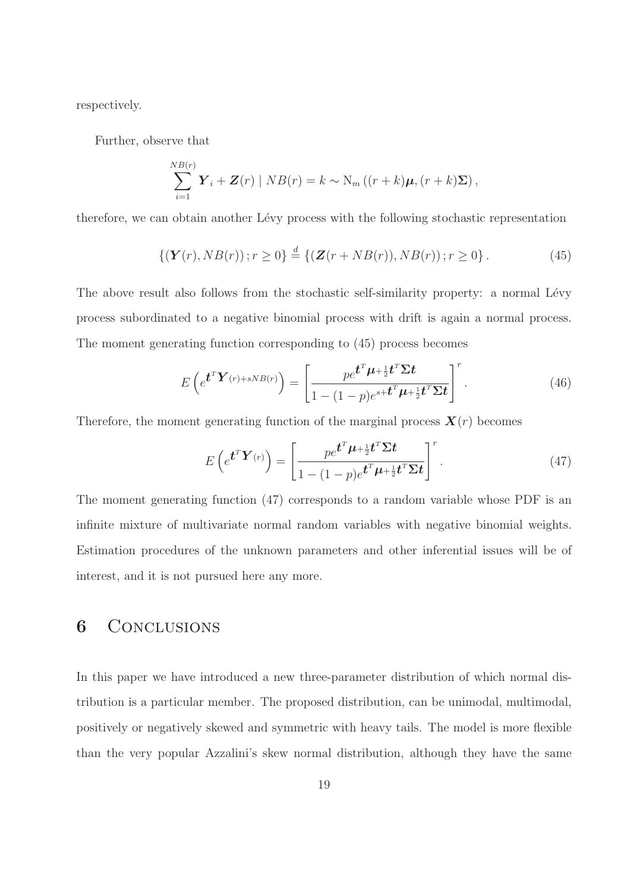respectively.

Further, observe that

$$
\sum_{i=1}^{N B(r)} \boldsymbol{Y}_i + \boldsymbol{Z}(r) \mid NB(r) = k \sim \mathrm{N}_m \left( (r+k) \boldsymbol{\mu}, (r+k) \boldsymbol{\Sigma} \right),
$$

therefore, we can obtain another Lévy process with the following stochastic representation

$$
\{(\boldsymbol{Y}(r), NB(r))\,; r \ge 0\} \stackrel{d}{=} \{(\boldsymbol{Z}(r + NB(r)), NB(r))\,; r \ge 0\}\,.
$$

The above result also follows from the stochastic self-similarity property: a normal Lévy process subordinated to a negative binomial process with drift is again a normal process. The moment generating function corresponding to (45) process becomes

$$
E\left(e^{\boldsymbol{t}^T\boldsymbol{Y}(r)+sNB(r)}\right)=\left[\frac{pe^{\boldsymbol{t}^T\boldsymbol{\mu}+\frac{1}{2}\boldsymbol{t}^T\boldsymbol{\Sigma}\boldsymbol{t}}}{1-(1-p)e^{s+\boldsymbol{t}^T\boldsymbol{\mu}+\frac{1}{2}\boldsymbol{t}^T\boldsymbol{\Sigma}\boldsymbol{t}}}\right]^r.
$$
\n(46)

Therefore, the moment generating function of the marginal process  $\mathbf{X}(r)$  becomes

$$
E\left(e^{\boldsymbol{t}^T\boldsymbol{Y}(r)}\right) = \left[\frac{pe^{\boldsymbol{t}^T\boldsymbol{\mu} + \frac{1}{2}\boldsymbol{t}^T\boldsymbol{\Sigma}\boldsymbol{t}}}{1 - (1-p)e^{\boldsymbol{t}^T\boldsymbol{\mu} + \frac{1}{2}\boldsymbol{t}^T\boldsymbol{\Sigma}\boldsymbol{t}}}\right]^r.
$$
\n(47)

The moment generating function (47) corresponds to a random variable whose PDF is an infinite mixture of multivariate normal random variables with negative binomial weights. Estimation procedures of the unknown parameters and other inferential issues will be of interest, and it is not pursued here any more.

# 6 CONCLUSIONS

In this paper we have introduced a new three-parameter distribution of which normal distribution is a particular member. The proposed distribution, can be unimodal, multimodal, positively or negatively skewed and symmetric with heavy tails. The model is more flexible than the very popular Azzalini's skew normal distribution, although they have the same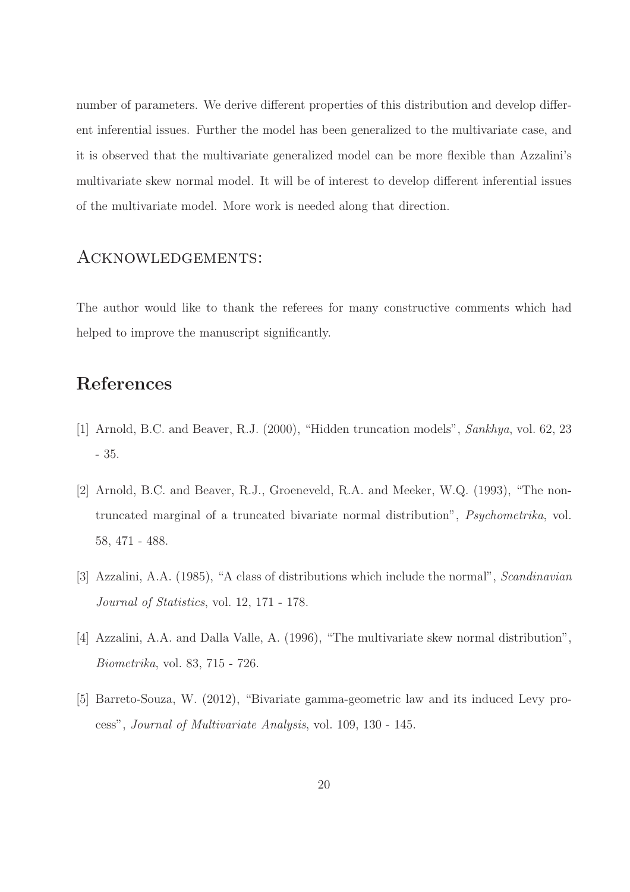number of parameters. We derive different properties of this distribution and develop different inferential issues. Further the model has been generalized to the multivariate case, and it is observed that the multivariate generalized model can be more flexible than Azzalini's multivariate skew normal model. It will be of interest to develop different inferential issues of the multivariate model. More work is needed along that direction.

### Acknowledgements:

The author would like to thank the referees for many constructive comments which had helped to improve the manuscript significantly.

# References

- [1] Arnold, B.C. and Beaver, R.J. (2000), "Hidden truncation models", Sankhya, vol. 62, 23 - 35.
- [2] Arnold, B.C. and Beaver, R.J., Groeneveld, R.A. and Meeker, W.Q. (1993), "The nontruncated marginal of a truncated bivariate normal distribution", Psychometrika, vol. 58, 471 - 488.
- [3] Azzalini, A.A. (1985), "A class of distributions which include the normal", Scandinavian Journal of Statistics, vol. 12, 171 - 178.
- [4] Azzalini, A.A. and Dalla Valle, A. (1996), "The multivariate skew normal distribution", Biometrika, vol. 83, 715 - 726.
- [5] Barreto-Souza, W. (2012), "Bivariate gamma-geometric law and its induced Levy process", Journal of Multivariate Analysis, vol. 109, 130 - 145.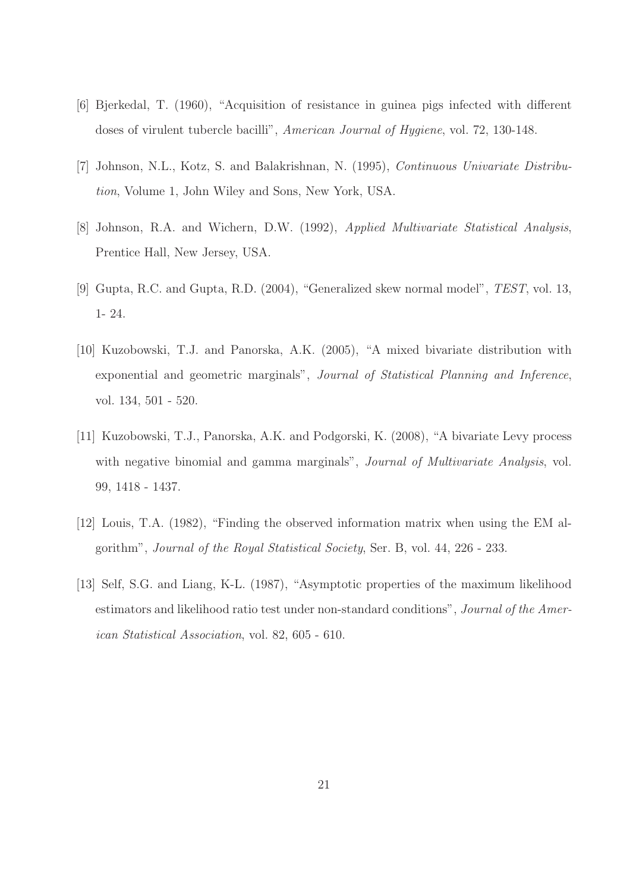- [6] Bjerkedal, T. (1960), "Acquisition of resistance in guinea pigs infected with different doses of virulent tubercle bacilli", American Journal of Hygiene, vol. 72, 130-148.
- [7] Johnson, N.L., Kotz, S. and Balakrishnan, N. (1995), Continuous Univariate Distribution, Volume 1, John Wiley and Sons, New York, USA.
- [8] Johnson, R.A. and Wichern, D.W. (1992), Applied Multivariate Statistical Analysis, Prentice Hall, New Jersey, USA.
- [9] Gupta, R.C. and Gupta, R.D. (2004), "Generalized skew normal model", TEST, vol. 13, 1- 24.
- [10] Kuzobowski, T.J. and Panorska, A.K. (2005), "A mixed bivariate distribution with exponential and geometric marginals", Journal of Statistical Planning and Inference, vol. 134, 501 - 520.
- [11] Kuzobowski, T.J., Panorska, A.K. and Podgorski, K. (2008), "A bivariate Levy process with negative binomial and gamma marginals", *Journal of Multivariate Analysis*, vol. 99, 1418 - 1437.
- [12] Louis, T.A. (1982), "Finding the observed information matrix when using the EM algorithm", Journal of the Royal Statistical Society, Ser. B, vol. 44, 226 - 233.
- [13] Self, S.G. and Liang, K-L. (1987), "Asymptotic properties of the maximum likelihood estimators and likelihood ratio test under non-standard conditions", Journal of the American Statistical Association, vol. 82, 605 - 610.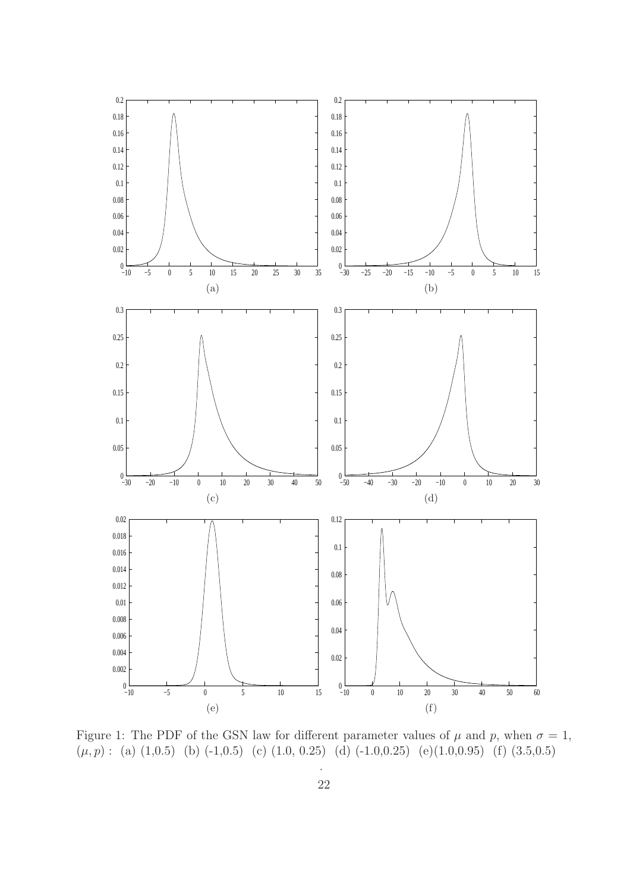

Figure 1: The PDF of the GSN law for different parameter values of  $\mu$  and  $p$ , when  $\sigma = 1$ ,  $(\mu, p)$ : (a) (1,0.5) (b) (-1,0.5) (c) (1.0, 0.25) (d) (-1.0,0.25) (e)(1.0,0.95) (f) (3.5,0.5)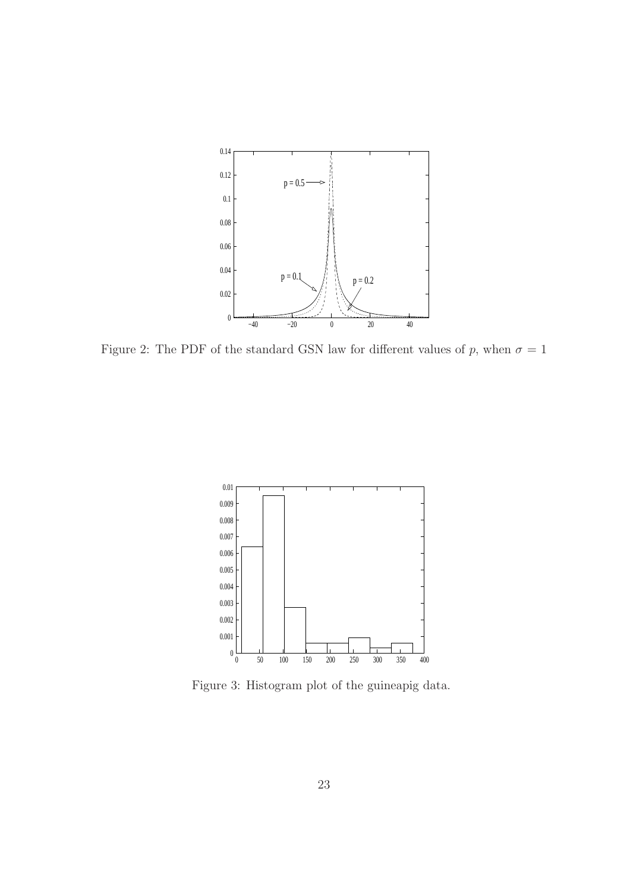

Figure 2: The PDF of the standard GSN law for different values of p, when  $\sigma = 1$ 



Figure 3: Histogram plot of the guineapig data.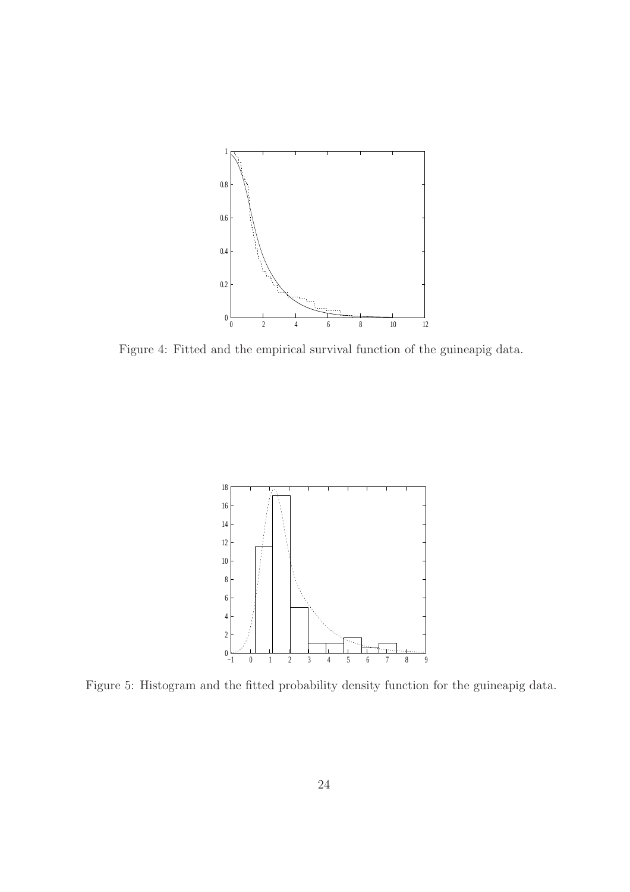

Figure 4: Fitted and the empirical survival function of the guineapig data.



Figure 5: Histogram and the fitted probability density function for the guineapig data.